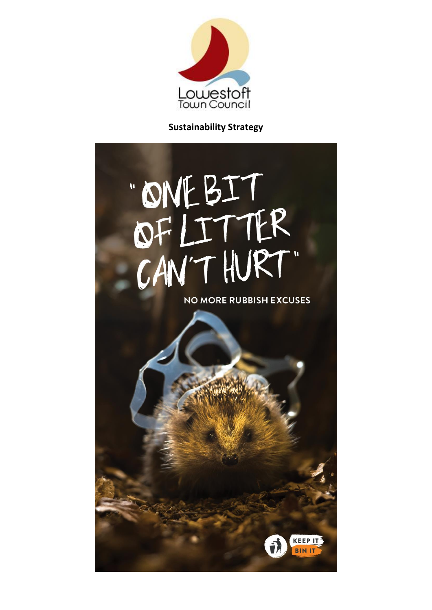

**Sustainability Strategy**

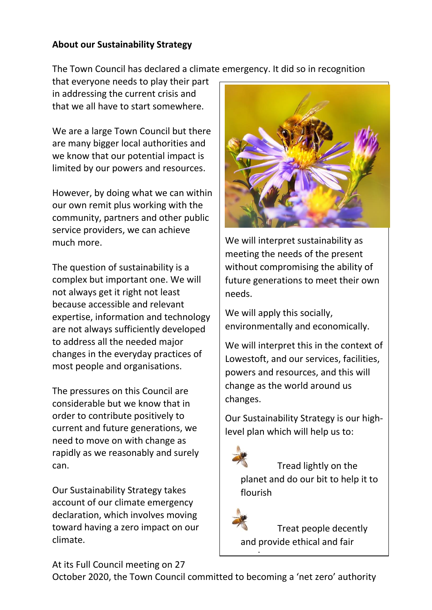#### **About our Sustainability Strategy**

The Town Council has declared a climate emergency. It did so in recognition

that everyone needs to play their part in addressing the current crisis and that we all have to start somewhere.

We are a large Town Council but there are many bigger local authorities and we know that our potential impact is limited by our powers and resources.

However, by doing what we can within our own remit plus working with the community, partners and other public service providers, we can achieve much more.

The question of sustainability is a complex but important one. We will not always get it right not least because accessible and relevant expertise, information and technology are not always sufficiently developed to address all the needed major changes in the everyday practices of most people and organisations.

The pressures on this Council are considerable but we know that in order to contribute positively to current and future generations, we need to move on with change as rapidly as we reasonably and surely can.

Our Sustainability Strategy takes account of our climate emergency declaration, which involves moving toward having a zero impact on our climate.



We will interpret sustainability as meeting the needs of the present without compromising the ability of future generations to meet their own needs.

We will apply this socially, environmentally and economically.

We will interpret this in the context of Lowestoft, and our services, facilities, powers and resources, and this will change as the world around us changes.

Our Sustainability Strategy is our highlevel plan which will help us to:

Tread lightly on the planet and do our bit to help it to flourish

Treat people decently and provide ethical and fair

At its Full Council meeting on 27

October 2020, the Town Council committed to becoming a 'net zero' authority

 $\frac{1}{\sqrt{2}}$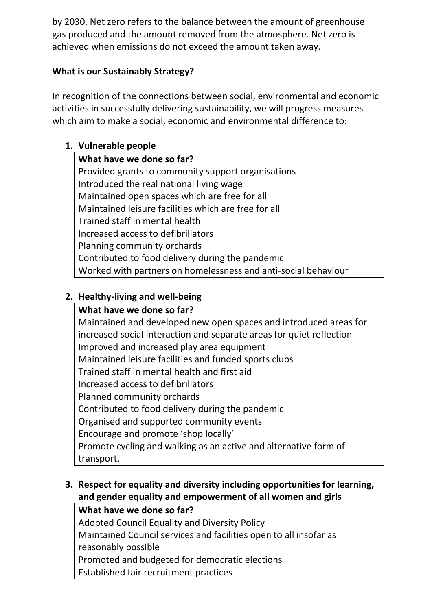by 2030. Net zero refers to the balance between the amount of greenhouse gas produced and the amount removed from the atmosphere. Net zero is achieved when emissions do not exceed the amount taken away.

## **What is our Sustainably Strategy?**

In recognition of the connections between social, environmental and economic activities in successfully delivering sustainability, we will progress measures which aim to make a social, economic and environmental difference to:

## **1. Vulnerable people**

**What have we done so far?** Provided grants to community support organisations Introduced the real national living wage Maintained open spaces which are free for all Maintained leisure facilities which are free for all Trained staff in mental health Increased access to defibrillators Planning community orchards Contributed to food delivery during the pandemic Worked with partners on homelessness and anti-social behaviour

## **2. Healthy-living and well-being**

# **What have we done so far?** Maintained and developed new open spaces and introduced areas for increased social interaction and separate areas for quiet reflection Improved and increased play area equipment Maintained leisure facilities and funded sports clubs Trained staff in mental health and first aid Increased access to defibrillators Planned community orchards Contributed to food delivery during the pandemic Organised and supported community events Encourage and promote 'shop locally' Promote cycling and walking as an active and alternative form of transport.

# **3. Respect for equality and diversity including opportunities for learning, and gender equality and empowerment of all women and girls**

#### **What have we done so far?**

Adopted Council Equality and Diversity Policy Maintained Council services and facilities open to all insofar as reasonably possible Promoted and budgeted for democratic elections Established fair recruitment practices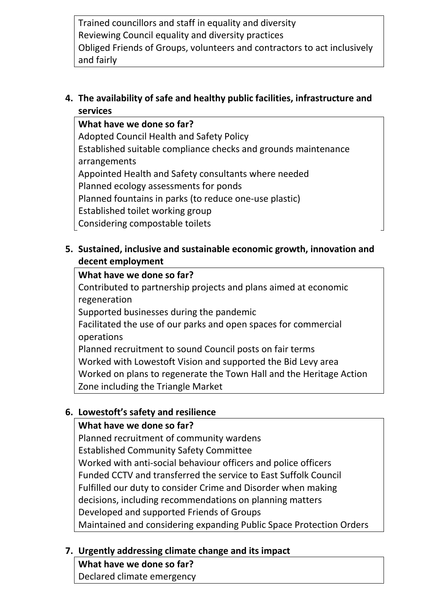Trained councillors and staff in equality and diversity Reviewing Council equality and diversity practices Obliged Friends of Groups, volunteers and contractors to act inclusively and fairly

## **4. The availability of safe and healthy public facilities, infrastructure and services**

**What have we done so far?** Adopted Council Health and Safety Policy Established suitable compliance checks and grounds maintenance arrangements Appointed Health and Safety consultants where needed Planned ecology assessments for ponds Planned fountains in parks (to reduce one-use plastic) Established toilet working group Considering compostable toilets

## **5. Sustained, inclusive and sustainable economic growth, innovation and decent employment**

#### **What have we done so far?**

Contributed to partnership projects and plans aimed at economic regeneration

Supported businesses during the pandemic

Facilitated the use of our parks and open spaces for commercial operations

Planned recruitment to sound Council posts on fair terms Worked with Lowestoft Vision and supported the Bid Levy area Worked on plans to regenerate the Town Hall and the Heritage Action Zone including the Triangle Market

#### **6. Lowestoft's safety and resilience**

#### **What have we done so far?**

Planned recruitment of community wardens Established Community Safety Committee Worked with anti-social behaviour officers and police officers Funded CCTV and transferred the service to East Suffolk Council Fulfilled our duty to consider Crime and Disorder when making decisions, including recommendations on planning matters Developed and supported Friends of Groups Maintained and considering expanding Public Space Protection Orders

# **7. Urgently addressing climate change and its impact**

**What have we done so far?** Declared climate emergency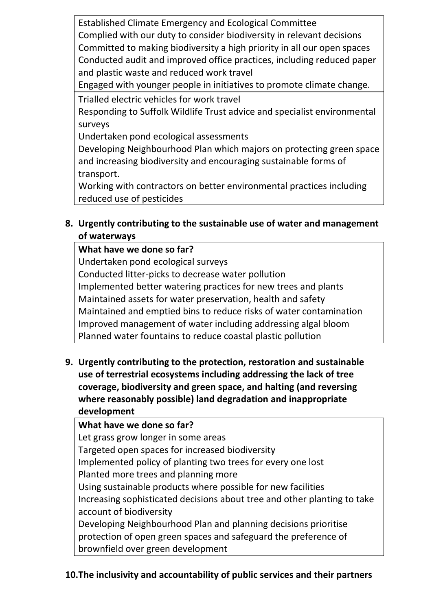Established Climate Emergency and Ecological Committee Complied with our duty to consider biodiversity in relevant decisions Committed to making biodiversity a high priority in all our open spaces Conducted audit and improved office practices, including reduced paper and plastic waste and reduced work travel

Engaged with younger people in initiatives to promote climate change.

Trialled electric vehicles for work travel

Responding to Suffolk Wildlife Trust advice and specialist environmental surveys

Undertaken pond ecological assessments

Developing Neighbourhood Plan which majors on protecting green space and increasing biodiversity and encouraging sustainable forms of transport.

Working with contractors on better environmental practices including reduced use of pesticides

# **8. Urgently contributing to the sustainable use of water and management of waterways**

## **What have we done so far?**

Undertaken pond ecological surveys Conducted litter-picks to decrease water pollution Implemented better watering practices for new trees and plants Maintained assets for water preservation, health and safety Maintained and emptied bins to reduce risks of water contamination Improved management of water including addressing algal bloom Planned water fountains to reduce coastal plastic pollution

**9. Urgently contributing to the protection, restoration and sustainable use of terrestrial ecosystems including addressing the lack of tree coverage, biodiversity and green space, and halting (and reversing where reasonably possible) land degradation and inappropriate development** 

# **What have we done so far?**

Let grass grow longer in some areas

Targeted open spaces for increased biodiversity

Implemented policy of planting two trees for every one lost

Planted more trees and planning more

Using sustainable products where possible for new facilities Increasing sophisticated decisions about tree and other planting to take account of biodiversity

Developing Neighbourhood Plan and planning decisions prioritise protection of open green spaces and safeguard the preference of brownfield over green development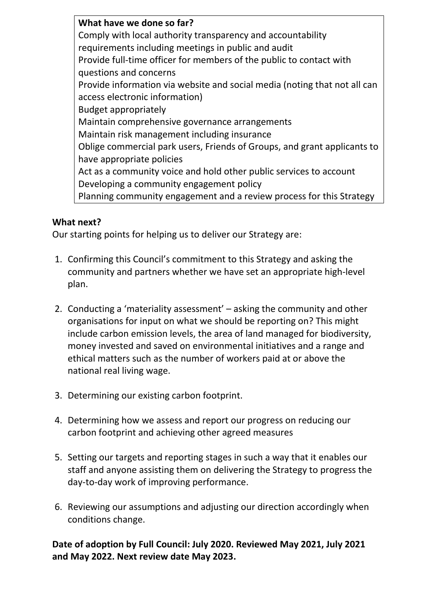**What have we done so far?** Comply with local authority transparency and accountability requirements including meetings in public and audit Provide full-time officer for members of the public to contact with questions and concerns Provide information via website and social media (noting that not all can access electronic information) Budget appropriately Maintain comprehensive governance arrangements Maintain risk management including insurance Oblige commercial park users, Friends of Groups, and grant applicants to have appropriate policies Act as a community voice and hold other public services to account Developing a community engagement policy Planning community engagement and a review process for this Strategy

## **What next?**

Our starting points for helping us to deliver our Strategy are:

- 1. Confirming this Council's commitment to this Strategy and asking the community and partners whether we have set an appropriate high-level plan.
- 2. Conducting a 'materiality assessment' asking the community and other organisations for input on what we should be reporting on? This might include carbon emission levels, the area of land managed for biodiversity, money invested and saved on environmental initiatives and a range and ethical matters such as the number of workers paid at or above the national real living wage.
- 3. Determining our existing carbon footprint.
- 4. Determining how we assess and report our progress on reducing our carbon footprint and achieving other agreed measures
- 5. Setting our targets and reporting stages in such a way that it enables our staff and anyone assisting them on delivering the Strategy to progress the day-to-day work of improving performance.
- 6. Reviewing our assumptions and adjusting our direction accordingly when conditions change.

#### **Date of adoption by Full Council: July 2020. Reviewed May 2021, July 2021 and May 2022. Next review date May 2023.**